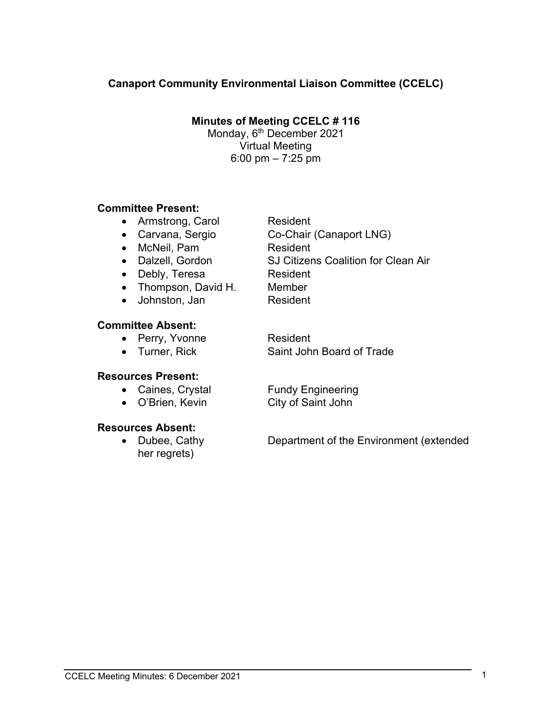#### **Canaport Community Environmental Liaison Committee (CCELC)**

**Minutes of Meeting CCELC # 116** 

Monday, 6<sup>th</sup> December 2021 Virtual Meeting 6:00 pm – 7:25 pm

#### **Committee Present:**

- Armstrong, Carol Resident
- Carvana, Sergio Co-Chair (Canaport LNG)
- McNeil, Pam Resident
- 
- Debly, Teresa Resident
- Thompson, David H. Member
- Johnston, Jan Resident

#### **Committee Absent:**

**Resources Present:** 

- Perry, Yvonne Resident
- 

• Caines, Crystal Fundy Engineering

• O'Brien, Kevin City of Saint John

#### **Resources Absent:**

her regrets)

• Dubee, Cathy **Department of the Environment (extended** 

• Dalzell, Gordon SJ Citizens Coalition for Clean Air

• Turner, Rick Saint John Board of Trade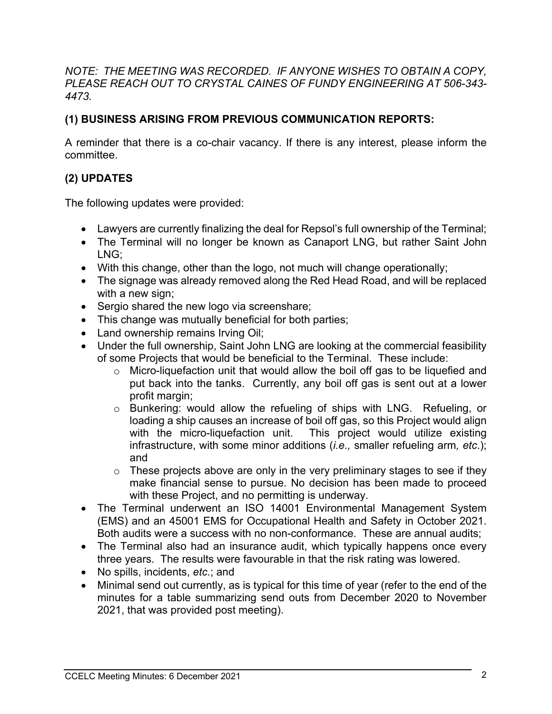*NOTE: THE MEETING WAS RECORDED. IF ANYONE WISHES TO OBTAIN A COPY, PLEASE REACH OUT TO CRYSTAL CAINES OF FUNDY ENGINEERING AT 506-343- 4473.* 

### **(1) BUSINESS ARISING FROM PREVIOUS COMMUNICATION REPORTS:**

A reminder that there is a co-chair vacancy. If there is any interest, please inform the committee.

## **(2) UPDATES**

The following updates were provided:

- Lawyers are currently finalizing the deal for Repsol's full ownership of the Terminal;
- The Terminal will no longer be known as Canaport LNG, but rather Saint John LNG;
- With this change, other than the logo, not much will change operationally;
- The signage was already removed along the Red Head Road, and will be replaced with a new sign;
- Sergio shared the new logo via screenshare;
- This change was mutually beneficial for both parties;
- Land ownership remains Irving Oil;
- Under the full ownership, Saint John LNG are looking at the commercial feasibility of some Projects that would be beneficial to the Terminal. These include:
	- o Micro-liquefaction unit that would allow the boil off gas to be liquefied and put back into the tanks. Currently, any boil off gas is sent out at a lower profit margin;
	- o Bunkering: would allow the refueling of ships with LNG. Refueling, or loading a ship causes an increase of boil off gas, so this Project would align with the micro-liquefaction unit. This project would utilize existing infrastructure, with some minor additions (*i.e.,* smaller refueling arm*, etc*.); and
	- $\circ$  These projects above are only in the very preliminary stages to see if they make financial sense to pursue. No decision has been made to proceed with these Project, and no permitting is underway.
- The Terminal underwent an ISO 14001 Environmental Management System (EMS) and an 45001 EMS for Occupational Health and Safety in October 2021. Both audits were a success with no non-conformance. These are annual audits;
- The Terminal also had an insurance audit, which typically happens once every three years. The results were favourable in that the risk rating was lowered.
- No spills, incidents, *etc.*; and
- Minimal send out currently, as is typical for this time of year (refer to the end of the minutes for a table summarizing send outs from December 2020 to November 2021, that was provided post meeting).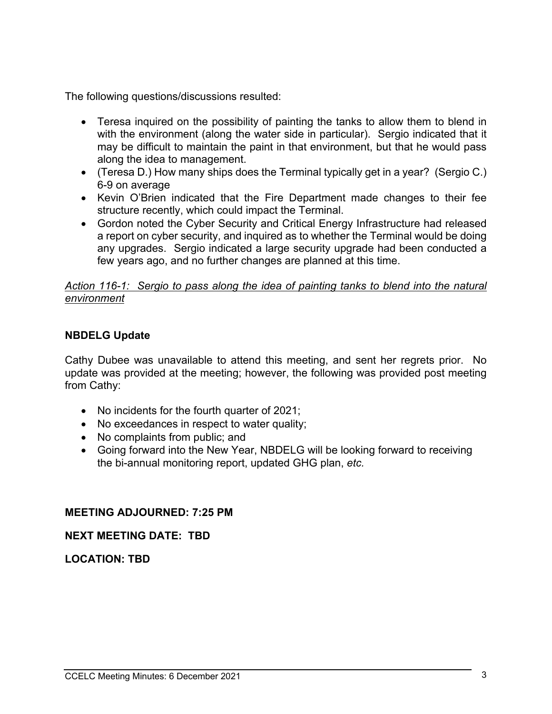The following questions/discussions resulted:

- Teresa inquired on the possibility of painting the tanks to allow them to blend in with the environment (along the water side in particular). Sergio indicated that it may be difficult to maintain the paint in that environment, but that he would pass along the idea to management.
- (Teresa D.) How many ships does the Terminal typically get in a year? (Sergio C.) 6-9 on average
- Kevin O'Brien indicated that the Fire Department made changes to their fee structure recently, which could impact the Terminal.
- Gordon noted the Cyber Security and Critical Energy Infrastructure had released a report on cyber security, and inquired as to whether the Terminal would be doing any upgrades. Sergio indicated a large security upgrade had been conducted a few years ago, and no further changes are planned at this time.

#### *Action 116-1: Sergio to pass along the idea of painting tanks to blend into the natural environment*

#### **NBDELG Update**

Cathy Dubee was unavailable to attend this meeting, and sent her regrets prior. No update was provided at the meeting; however, the following was provided post meeting from Cathy:

- No incidents for the fourth quarter of 2021;
- No exceedances in respect to water quality;
- No complaints from public; and
- Going forward into the New Year, NBDELG will be looking forward to receiving the bi-annual monitoring report, updated GHG plan, *etc.*

#### **MEETING ADJOURNED: 7:25 PM**

#### **NEXT MEETING DATE: TBD**

**LOCATION: TBD**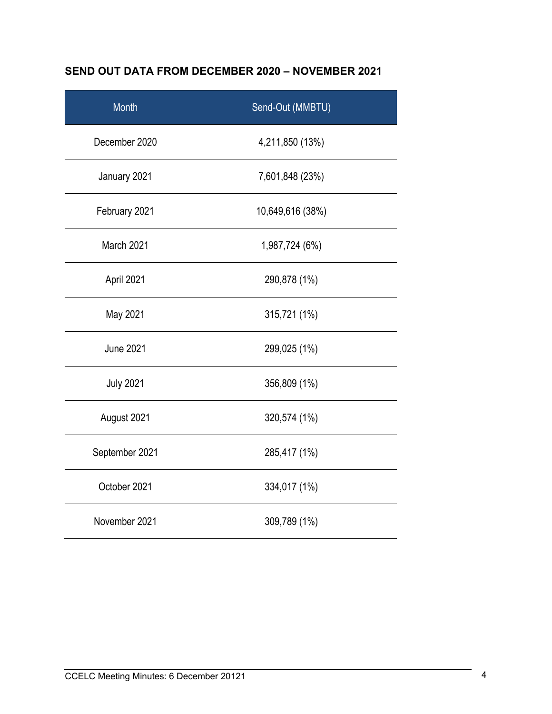## **SEND OUT DATA FROM DECEMBER 2020 – NOVEMBER 2021**

| Month            | Send-Out (MMBTU) |
|------------------|------------------|
| December 2020    | 4,211,850 (13%)  |
| January 2021     | 7,601,848 (23%)  |
| February 2021    | 10,649,616 (38%) |
| March 2021       | 1,987,724 (6%)   |
| April 2021       | 290,878 (1%)     |
| May 2021         | 315,721 (1%)     |
| <b>June 2021</b> | 299,025 (1%)     |
| <b>July 2021</b> | 356,809 (1%)     |
| August 2021      | 320,574 (1%)     |
| September 2021   | 285,417 (1%)     |
| October 2021     | 334,017 (1%)     |
| November 2021    | 309,789 (1%)     |